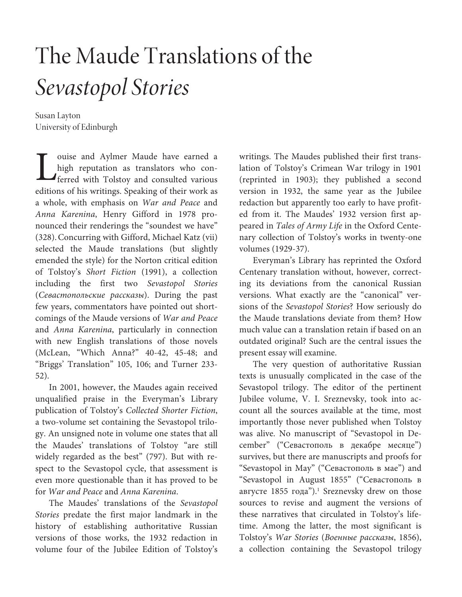# The Maude Translations of the Sevastopol Stories

Susan Layton University of Edinburgh

ouise and Aylmer Maude have earned a high reputation as translators who conferred with Tolstoy and consulted various Jouise and Aylmer Maude have earned a high reputation as translators who conferred with Tolstoy and consulted various editions of his writings. Speaking of their work as a whole, with emphasis on War and Peace and Anna Karenina, Henry Gifford in 1978 pronounced their renderings the "soundest we have" (328).Concurring with Gifford, Michael Katz (vii) selected the Maude translations (but slightly emended the style) for the Norton critical edition of Tolstoy's Short Fiction (1991), a collection including the first two Sevastopol Stories (Севастопольские рассказы). During the past few years, commentators have pointed out shortcomings of the Maude versions of War and Peace and Anna Karenina, particularly in connection with new English translations of those novels (McLean, "Which Anna?" 40-42, 45-48; and "Briggs' Translation" 105, 106; and Turner 233- 52).

In 2001, however, the Maudes again received unqualified praise in the Everyman's Library publication of Tolstoy's Collected Shorter Fiction, a two-volume set containing the Sevastopol trilogy. An unsigned note in volume one states that all the Maudes' translations of Tolstoy "are still widely regarded as the best" (797). But with respect to the Sevastopol cycle, that assessment is even more questionable than it has proved to be for War and Peace and Anna Karenina.

The Maudes' translations of the Sevastopol Stories predate the first major landmark in the history of establishing authoritative Russian versions of those works, the 1932 redaction in volume four of the Jubilee Edition of Tolstoy's writings. The Maudes published their first translation of Tolstoy's Crimean War trilogy in 1901 (reprinted in 1903); they published a second version in 1932, the same year as the Jubilee redaction but apparently too early to have profited from it. The Maudes' 1932 version first appeared in Tales of Army Life in the Oxford Centenary collection of Tolstoy's works in twenty-one volumes (1929-37).

Everyman's Library has reprinted the Oxford Centenary translation without, however, correcting its deviations from the canonical Russian versions. What exactly are the "canonical" versions of the Sevastopol Stories? How seriously do the Maude translations deviate from them? How much value can a translation retain if based on an outdated original? Such are the central issues the present essay will examine.

The very question of authoritative Russian texts is unusually complicated in the case of the Sevastopol trilogy. The editor of the pertinent Jubilee volume, V. I. Sreznevsky, took into account all the sources available at the time, most importantly those never published when Tolstoy was alive. No manuscript of "Sevastopol in December" ("Севастополь в декабре месяце") survives, but there are manuscripts and proofs for "Sevastopol in May" ("Севастополь в мае") and "Sevastopol in August 1855" ("Севастополь в августе 1855 года").<sup>1</sup> Sreznevsky drew on those sources to revise and augment the versions of these narratives that circulated in Tolstoy's lifetime. Among the latter, the most significant is Tolstoy's War Stories (Военные рассказы, 1856), a collection containing the Sevastopol trilogy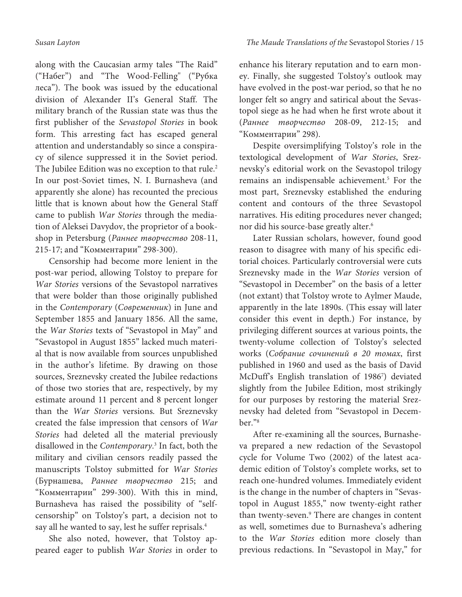along with the Caucasian army tales "The Raid" ("Набег") and "The Wood-Felling" ("Рубка леса"). The book was issued by the educational division of Alexander II's General Staff. The military branch of the Russian state was thus the first publisher of the Sevastopol Stories in book form. This arresting fact has escaped general attention and understandably so since a conspiracy of silence suppressed it in the Soviet period. The Jubilee Edition was no exception to that rule.<sup>2</sup> In our post-Soviet times, N. I. Burnasheva (and apparently she alone) has recounted the precious little that is known about how the General Staff came to publish War Stories through the mediation of Aleksei Davydov, the proprietor of a bookshop in Petersburg (Раннее творчество 208-11, 215-17; and "Комментарии" 298-300).

Censorship had become more lenient in the post-war period, allowing Tolstoy to prepare for War Stories versions of the Sevastopol narratives that were bolder than those originally published in the Contemporary (Современник) in June and September 1855 and January 1856. All the same, the War Stories texts of "Sevastopol in May" and "Sevastopol in August 1855" lacked much material that is now available from sources unpublished in the author's lifetime. By drawing on those sources, Sreznevsky created the Jubilee redactions of those two stories that are, respectively, by my estimate around 11 percent and 8 percent longer than the War Stories versions. But Sreznevsky created the false impression that censors of War Stories had deleted all the material previously disallowed in the Contemporary. 3 In fact, both the military and civilian censors readily passed the manuscripts Tolstoy submitted for War Stories (Бурнашева, Раннее творчество 215; and "Комментарии" 299-300). With this in mind, Burnasheva has raised the possibility of "selfcensorship" on Tolstoy's part, a decision not to say all he wanted to say, lest he suffer reprisals.<sup>4</sup>

She also noted, however, that Tolstoy appeared eager to publish War Stories in order to enhance his literary reputation and to earn money. Finally, she suggested Tolstoy's outlook may have evolved in the post-war period, so that he no longer felt so angry and satirical about the Sevastopol siege as he had when he first wrote about it (Раннее творчество 208-09, 212-15; and "Комментарии" 298).

Despite oversimplifying Tolstoy's role in the textological development of War Stories, Sreznevsky's editorial work on the Sevastopol trilogy remains an indispensable achievement.<sup>5</sup> For the most part, Sreznevsky established the enduring content and contours of the three Sevastopol narratives. His editing procedures never changed; nor did his source-base greatly alter.<sup>6</sup>

Later Russian scholars, however, found good reason to disagree with many of his specific editorial choices. Particularly controversial were cuts Sreznevsky made in the War Stories version of "Sevastopol in December" on the basis of a letter (not extant) that Tolstoy wrote to Aylmer Maude, apparently in the late 1890s. (This essay will later consider this event in depth.) For instance, by privileging different sources at various points, the twenty-volume collection of Tolstoy's selected works (Собрание сочинений в 20 томах, first published in 1960 and used as the basis of David McDuff's English translation of 1986<sup>7</sup> ) deviated slightly from the Jubilee Edition, most strikingly for our purposes by restoring the material Sreznevsky had deleted from "Sevastopol in December."<sup>8</sup>

After re-examining all the sources, Burnasheva prepared a new redaction of the Sevastopol cycle for Volume Two (2002) of the latest academic edition of Tolstoy's complete works, set to reach one-hundred volumes. Immediately evident is the change in the number of chapters in "Sevastopol in August 1855," now twenty-eight rather than twenty-seven.<sup>9</sup> There are changes in content as well, sometimes due to Burnasheva's adhering to the War Stories edition more closely than previous redactions. In "Sevastopol in May," for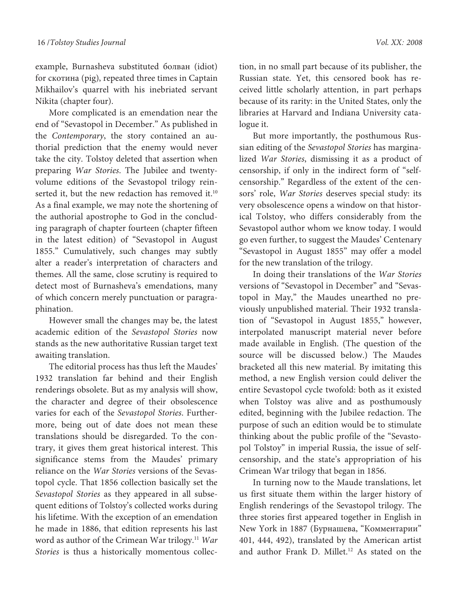example, Burnasheva substituted болван (idiot) for скотина (pig), repeated three times in Captain Mikhailov's quarrel with his inebriated servant Nikita (chapter four).

More complicated is an emendation near the end of "Sevastopol in December." As published in the Contemporary, the story contained an authorial prediction that the enemy would never take the city. Tolstoy deleted that assertion when preparing War Stories. The Jubilee and twentyvolume editions of the Sevastopol trilogy reinserted it, but the new redaction has removed it.<sup>10</sup> As a final example, we may note the shortening of the authorial apostrophe to God in the concluding paragraph of chapter fourteen (chapter fifteen in the latest edition) of "Sevastopol in August 1855." Cumulatively, such changes may subtly alter a reader's interpretation of characters and themes. All the same, close scrutiny is required to detect most of Burnasheva's emendations, many of which concern merely punctuation or paragraphination.

However small the changes may be, the latest academic edition of the Sevastopol Stories now stands as the new authoritative Russian target text awaiting translation.

The editorial process has thus left the Maudes' 1932 translation far behind and their English renderings obsolete. But as my analysis will show, the character and degree of their obsolescence varies for each of the Sevastopol Stories. Furthermore, being out of date does not mean these translations should be disregarded. To the contrary, it gives them great historical interest. This significance stems from the Maudes' primary reliance on the War Stories versions of the Sevastopol cycle. That 1856 collection basically set the Sevastopol Stories as they appeared in all subsequent editions of Tolstoy's collected works during his lifetime. With the exception of an emendation he made in 1886, that edition represents his last word as author of the Crimean War trilogy.<sup>11</sup> War Stories is thus a historically momentous collec-

tion, in no small part because of its publisher, the Russian state. Yet, this censored book has received little scholarly attention, in part perhaps because of its rarity: in the United States, only the libraries at Harvard and Indiana University catalogue it.

But more importantly, the posthumous Russian editing of the Sevastopol Stories has marginalized War Stories, dismissing it as a product of censorship, if only in the indirect form of "selfcensorship." Regardless of the extent of the censors' role, War Stories deserves special study: its very obsolescence opens a window on that historical Tolstoy, who differs considerably from the Sevastopol author whom we know today. I would go even further, to suggest the Maudes' Centenary "Sevastopol in August 1855" may offer a model for the new translation of the trilogy.

In doing their translations of the War Stories versions of "Sevastopol in December" and "Sevastopol in May," the Maudes unearthed no previously unpublished material. Their 1932 translation of "Sevastopol in August 1855," however, interpolated manuscript material never before made available in English. (The question of the source will be discussed below.) The Maudes bracketed all this new material. By imitating this method, a new English version could deliver the entire Sevastopol cycle twofold: both as it existed when Tolstoy was alive and as posthumously edited, beginning with the Jubilee redaction. The purpose of such an edition would be to stimulate thinking about the public profile of the "Sevastopol Tolstoy" in imperial Russia, the issue of selfcensorship, and the state's appropriation of his Crimean War trilogy that began in 1856.

In turning now to the Maude translations, let us first situate them within the larger history of English renderings of the Sevastopol trilogy. The three stories first appeared together in English in New York in 1887 (Бурнашева, "Комментарии" 401, 444, 492), translated by the American artist and author Frank D. Millet.<sup>12</sup> As stated on the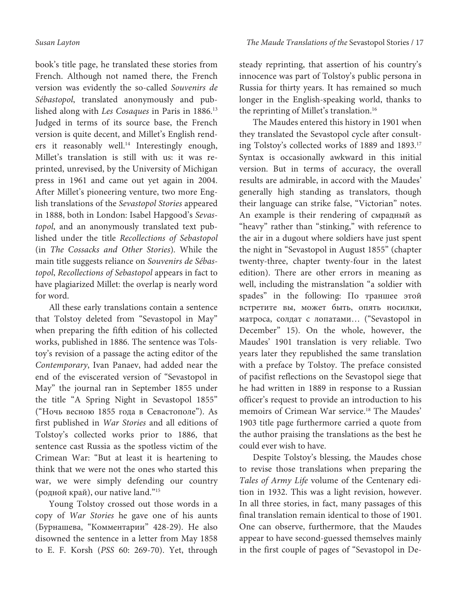book's title page, he translated these stories from French. Although not named there, the French version was evidently the so-called Souvenirs de Sébastopol, translated anonymously and published along with Les Cosaques in Paris in 1886.<sup>13</sup> Judged in terms of its source base, the French version is quite decent, and Millet's English renders it reasonably well.<sup>14</sup> Interestingly enough, Millet's translation is still with us: it was reprinted, unrevised, by the University of Michigan press in 1961 and came out yet again in 2004. After Millet's pioneering venture, two more English translations of the Sevastopol Stories appeared in 1888, both in London: Isabel Hapgood's Sevastopol, and an anonymously translated text published under the title Recollections of Sebastopol (in The Cossacks and Other Stories). While the main title suggests reliance on Souvenirs de Sébastopol, Recollections of Sebastopol appears in fact to have plagiarized Millet: the overlap is nearly word for word.

All these early translations contain a sentence that Tolstoy deleted from "Sevastopol in May" when preparing the fifth edition of his collected works, published in 1886. The sentence was Tolstoy's revision of a passage the acting editor of the Contemporary, Ivan Panaev, had added near the end of the eviscerated version of "Sevastopol in May" the journal ran in September 1855 under the title "A Spring Night in Sevastopol 1855" ("Ночь весною 1855 года в Севастополе"). As first published in War Stories and all editions of Tolstoy's collected works prior to 1886, that sentence cast Russia as the spotless victim of the Crimean War: "But at least it is heartening to think that we were not the ones who started this war, we were simply defending our country (родной край), our native land."<sup>15</sup>

Young Tolstoy crossed out those words in a copy of War Stories he gave one of his aunts (Бурнашева, "Комментарии" 428-29). He also disowned the sentence in a letter from May 1858 to E. F. Korsh (PSS 60: 269-70). Yet, through steady reprinting, that assertion of his country's innocence was part of Tolstoy's public persona in Russia for thirty years. It has remained so much longer in the English-speaking world, thanks to the reprinting of Millet's translation.<sup>16</sup>

The Maudes entered this history in 1901 when they translated the Sevastopol cycle after consulting Tolstoy's collected works of 1889 and 1893.<sup>17</sup> Syntax is occasionally awkward in this initial version. But in terms of accuracy, the overall results are admirable, in accord with the Maudes' generally high standing as translators, though their language can strike false, "Victorian" notes. An example is their rendering of смрадный as "heavy" rather than "stinking," with reference to the air in a dugout where soldiers have just spent the night in "Sevastopol in August 1855" (chapter twenty-three, chapter twenty-four in the latest edition). There are other errors in meaning as well, including the mistranslation "a soldier with spades" in the following: По траншее этой встретите вы, может быть, опять носилки, матроса, солдат с лопатами… ("Sevastopol in December" 15). On the whole, however, the Maudes' 1901 translation is very reliable. Two years later they republished the same translation with a preface by Tolstoy. The preface consisted of pacifist reflections on the Sevastopol siege that he had written in 1889 in response to a Russian officer's request to provide an introduction to his memoirs of Crimean War service.<sup>18</sup> The Maudes' 1903 title page furthermore carried a quote from the author praising the translations as the best he could ever wish to have.

Despite Tolstoy's blessing, the Maudes chose to revise those translations when preparing the Tales of Army Life volume of the Centenary edition in 1932. This was a light revision, however. In all three stories, in fact, many passages of this final translation remain identical to those of 1901. One can observe, furthermore, that the Maudes appear to have second-guessed themselves mainly in the first couple of pages of "Sevastopol in De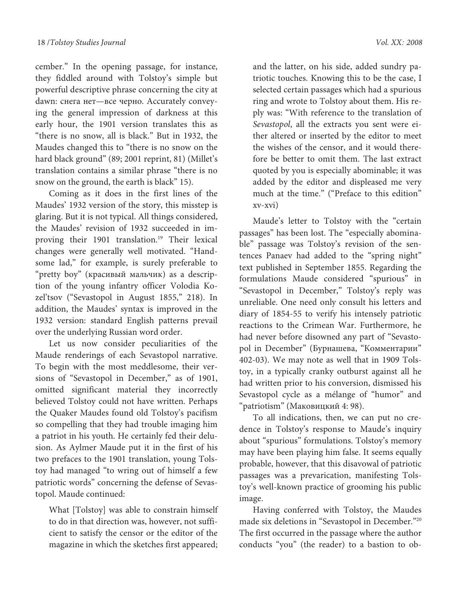cember." In the opening passage, for instance, they fiddled around with Tolstoy's simple but powerful descriptive phrase concerning the city at dawn: снега нет—все черно. Accurately conveying the general impression of darkness at this early hour, the 1901 version translates this as "there is no snow, all is black." But in 1932, the Maudes changed this to "there is no snow on the hard black ground" (89; 2001 reprint, 81) (Millet's translation contains a similar phrase "there is no snow on the ground, the earth is black" 15).

Coming as it does in the first lines of the Maudes' 1932 version of the story, this misstep is glaring. But it is not typical. All things considered, the Maudes' revision of 1932 succeeded in improving their 1901 translation.<sup>19</sup> Their lexical changes were generally well motivated. "Handsome lad," for example, is surely preferable to "pretty boy" (красивый мальчик) as a description of the young infantry officer Volodia Kozel'tsov ("Sevastopol in August 1855," 218). In addition, the Maudes' syntax is improved in the 1932 version: standard English patterns prevail over the underlying Russian word order.

Let us now consider peculiarities of the Maude renderings of each Sevastopol narrative. To begin with the most meddlesome, their versions of "Sevastopol in December," as of 1901, omitted significant material they incorrectly believed Tolstoy could not have written. Perhaps the Quaker Maudes found old Tolstoy's pacifism so compelling that they had trouble imaging him a patriot in his youth. He certainly fed their delusion. As Aylmer Maude put it in the first of his two prefaces to the 1901 translation, young Tolstoy had managed "to wring out of himself a few patriotic words" concerning the defense of Sevastopol. Maude continued:

What [Tolstoy] was able to constrain himself to do in that direction was, however, not sufficient to satisfy the censor or the editor of the magazine in which the sketches first appeared;

and the latter, on his side, added sundry patriotic touches. Knowing this to be the case, I selected certain passages which had a spurious ring and wrote to Tolstoy about them. His reply was: "With reference to the translation of Sevastopol, all the extracts you sent were either altered or inserted by the editor to meet the wishes of the censor, and it would therefore be better to omit them. The last extract quoted by you is especially abominable; it was added by the editor and displeased me very much at the time." ("Preface to this edition" xv-xvi)

Maude's letter to Tolstoy with the "certain passages" has been lost. The "especially abominable" passage was Tolstoy's revision of the sentences Panaev had added to the "spring night" text published in September 1855. Regarding the formulations Maude considered "spurious" in "Sevastopol in December," Tolstoy's reply was unreliable. One need only consult his letters and diary of 1854-55 to verify his intensely patriotic reactions to the Crimean War. Furthermore, he had never before disowned any part of "Sevastopol in December" (Бурнашева, "Комментарии" 402-03). We may note as well that in 1909 Tolstoy, in a typically cranky outburst against all he had written prior to his conversion, dismissed his Sevastopol cycle as a mélange of "humor" and "patriotism" (Маковицкий 4: 98).

To all indications, then, we can put no credence in Tolstoy's response to Maude's inquiry about "spurious" formulations. Tolstoy's memory may have been playing him false. It seems equally probable, however, that this disavowal of patriotic passages was a prevarication, manifesting Tolstoy's well-known practice of grooming his public image.

Having conferred with Tolstoy, the Maudes made six deletions in "Sevastopol in December."<sup>20</sup> The first occurred in the passage where the author conducts "you" (the reader) to a bastion to ob-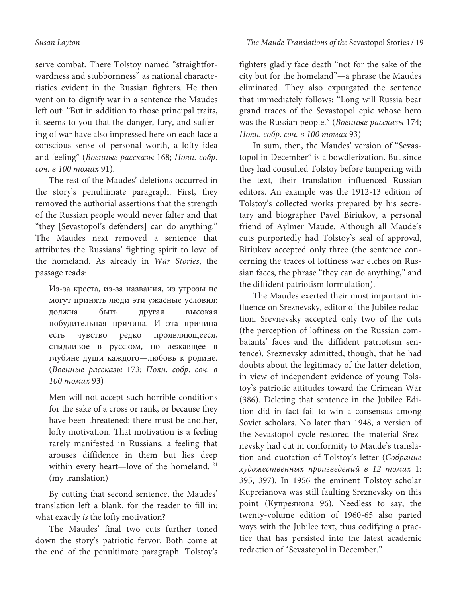serve combat. There Tolstoy named "straightforwardness and stubbornness" as national characteristics evident in the Russian fighters. He then went on to dignify war in a sentence the Maudes left out: "But in addition to those principal traits, it seems to you that the danger, fury, and suffering of war have also impressed here on each face a conscious sense of personal worth, a lofty idea and feeling" (Военные рассказы 168; Полн. собр. соч. в 100 томах 91).

The rest of the Maudes' deletions occurred in the story's penultimate paragraph. First, they removed the authorial assertions that the strength of the Russian people would never falter and that "they [Sevastopol's defenders] can do anything." The Maudes next removed a sentence that attributes the Russians' fighting spirit to love of the homeland. As already in War Stories, the passage reads:

Из-за креста, из-за названия, из угрозы не могут принять люди эти ужасные условия: должна быть другая высокая побудительная причина. И эта причина есть чувство редко проявляющееся, стыдливое в русском, но лежавщее в глубине души каждого—любовь к родине. (Военные рассказы 173; Полн. собр. соч. в 100 томах 93)

Men will not accept such horrible conditions for the sake of a cross or rank, or because they have been threatened: there must be another, lofty motivation. That motivation is a feeling rarely manifested in Russians, a feeling that arouses diffidence in them but lies deep within every heart—love of the homeland.<sup>21</sup> (my translation)

By cutting that second sentence, the Maudes' translation left a blank, for the reader to fill in: what exactly *is* the lofty motivation?

The Maudes' final two cuts further toned down the story's patriotic fervor. Both come at the end of the penultimate paragraph. Tolstoy's

fighters gladly face death "not for the sake of the city but for the homeland"—a phrase the Maudes eliminated. They also expurgated the sentence that immediately follows: "Long will Russia bear grand traces of the Sevastopol epic whose hero was the Russian people." (Военные рассказы 174; Полн. собр. соч. в 100 томах 93)

In sum, then, the Maudes' version of "Sevastopol in December" is a bowdlerization. But since they had consulted Tolstoy before tampering with the text, their translation influenced Russian editors. An example was the 1912-13 edition of Tolstoy's collected works prepared by his secretary and biographer Pavel Biriukov, a personal friend of Aylmer Maude. Although all Maude's cuts purportedly had Tolstoy's seal of approval, Biriukov accepted only three (the sentence concerning the traces of loftiness war etches on Russian faces, the phrase "they can do anything," and the diffident patriotism formulation).

The Maudes exerted their most important influence on Sreznevsky, editor of the Jubilee redaction. Srevnevsky accepted only two of the cuts (the perception of loftiness on the Russian combatants' faces and the diffident patriotism sentence). Sreznevsky admitted, though, that he had doubts about the legitimacy of the latter deletion, in view of independent evidence of young Tolstoy's patriotic attitudes toward the Crimean War (386). Deleting that sentence in the Jubilee Edition did in fact fail to win a consensus among Soviet scholars. No later than 1948, a version of the Sevastopol cycle restored the material Sreznevsky had cut in conformity to Maude's translation and quotation of Tolstoy's letter (Собрание художественных произведений в 12 томах 1: 395, 397). In 1956 the eminent Tolstoy scholar Kupreianova was still faulting Sreznevsky on this point (Купреянова 96). Needless to say, the twenty-volume edition of 1960-65 also parted ways with the Jubilee text, thus codifying a practice that has persisted into the latest academic redaction of "Sevastopol in December."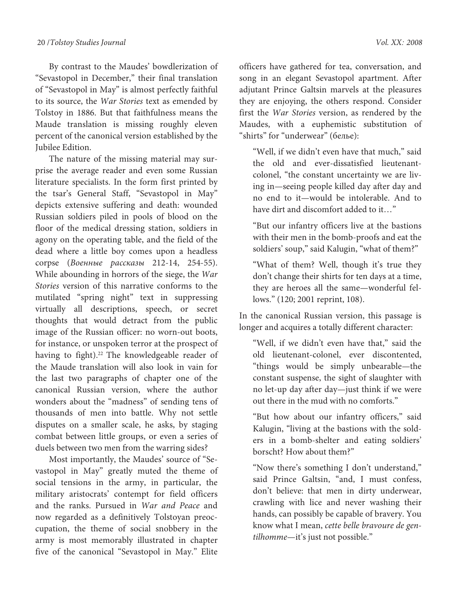By contrast to the Maudes' bowdlerization of "Sevastopol in December," their final translation of "Sevastopol in May" is almost perfectly faithful to its source, the War Stories text as emended by Tolstoy in 1886. But that faithfulness means the Maude translation is missing roughly eleven percent of the canonical version established by the Jubilee Edition.

The nature of the missing material may surprise the average reader and even some Russian literature specialists. In the form first printed by the tsar's General Staff, "Sevastopol in May" depicts extensive suffering and death: wounded Russian soldiers piled in pools of blood on the floor of the medical dressing station, soldiers in agony on the operating table, and the field of the dead where a little boy comes upon a headless corpse (Военные рассказы 212-14, 254-55). While abounding in horrors of the siege, the War Stories version of this narrative conforms to the mutilated "spring night" text in suppressing virtually all descriptions, speech, or secret thoughts that would detract from the public image of the Russian officer: no worn-out boots, for instance, or unspoken terror at the prospect of having to fight).<sup>22</sup> The knowledgeable reader of the Maude translation will also look in vain for the last two paragraphs of chapter one of the canonical Russian version, where the author wonders about the "madness" of sending tens of thousands of men into battle. Why not settle disputes on a smaller scale, he asks, by staging combat between little groups, or even a series of duels between two men from the warring sides?

Most importantly, the Maudes' source of "Sevastopol in May" greatly muted the theme of social tensions in the army, in particular, the military aristocrats' contempt for field officers and the ranks. Pursued in War and Peace and now regarded as a definitively Tolstoyan preoccupation, the theme of social snobbery in the army is most memorably illustrated in chapter five of the canonical "Sevastopol in May." Elite

officers have gathered for tea, conversation, and song in an elegant Sevastopol apartment. After adjutant Prince Galtsin marvels at the pleasures they are enjoying, the others respond. Consider first the War Stories version, as rendered by the Maudes, with a euphemistic substitution of "shirts" for "underwear" (белье):

"Well, if we didn't even have that much," said the old and ever-dissatisfied lieutenantcolonel, "the constant uncertainty we are living in—seeing people killed day after day and no end to it—would be intolerable. And to have dirt and discomfort added to it..."

"But our infantry officers live at the bastions with their men in the bomb-proofs and eat the soldiers' soup," said Kalugin, "what of them?"

"What of them? Well, though it's true they don't change their shirts for ten days at a time, they are heroes all the same—wonderful fellows." (120; 2001 reprint, 108).

In the canonical Russian version, this passage is longer and acquires a totally different character:

"Well, if we didn't even have that," said the old lieutenant-colonel, ever discontented, "things would be simply unbearable—the constant suspense, the sight of slaughter with no let-up day after day—just think if we were out there in the mud with no comforts."

"But how about our infantry officers," said Kalugin, "living at the bastions with the solders in a bomb-shelter and eating soldiers' borscht? How about them?"

"Now there's something I don't understand," said Prince Galtsin, "and, I must confess, don't believe: that men in dirty underwear, crawling with lice and never washing their hands, can possibly be capable of bravery. You know what I mean, cette belle bravoure de gentilhomme—it's just not possible."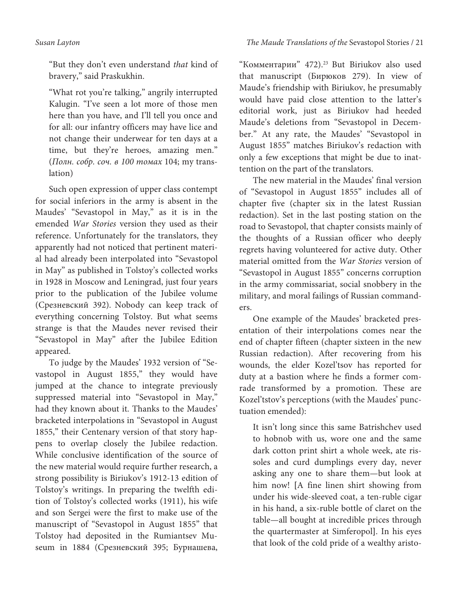"But they don't even understand that kind of bravery," said Praskukhin.

"What rot you're talking," angrily interrupted Kalugin. "I've seen a lot more of those men here than you have, and I'll tell you once and for all: our infantry officers may have lice and not change their underwear for ten days at a time, but they're heroes, amazing men." (Полн. собр. соч. в 100 томах 104; my translation)

Such open expression of upper class contempt for social inferiors in the army is absent in the Maudes' "Sevastopol in May," as it is in the emended War Stories version they used as their reference. Unfortunately for the translators, they apparently had not noticed that pertinent material had already been interpolated into "Sevastopol in May" as published in Tolstoy's collected works in 1928 in Moscow and Leningrad, just four years prior to the publication of the Jubilee volume (Срезневский 392). Nobody can keep track of everything concerning Tolstoy. But what seems strange is that the Maudes never revised their "Sevastopol in May" after the Jubilee Edition appeared.

To judge by the Maudes' 1932 version of "Sevastopol in August 1855," they would have jumped at the chance to integrate previously suppressed material into "Sevastopol in May," had they known about it. Thanks to the Maudes' bracketed interpolations in "Sevastopol in August 1855," their Centenary version of that story happens to overlap closely the Jubilee redaction. While conclusive identification of the source of the new material would require further research, a strong possibility is Biriukov's 1912-13 edition of Tolstoy's writings. In preparing the twelfth edition of Tolstoy's collected works (1911), his wife and son Sergei were the first to make use of the manuscript of "Sevastopol in August 1855" that Tolstoy had deposited in the Rumiantsev Museum in 1884 (Срезневский 395; Бурнашева,

"Комментарии" 472).<sup>23</sup> But Biriukov also used that manuscript (Бирюков 279). In view of Maude's friendship with Biriukov, he presumably would have paid close attention to the latter's editorial work, just as Biriukov had heeded Maude's deletions from "Sevastopol in December." At any rate, the Maudes' "Sevastopol in August 1855" matches Biriukov's redaction with only a few exceptions that might be due to inattention on the part of the translators.

The new material in the Maudes' final version of "Sevastopol in August 1855" includes all of chapter five (chapter six in the latest Russian redaction). Set in the last posting station on the road to Sevastopol, that chapter consists mainly of the thoughts of a Russian officer who deeply regrets having volunteered for active duty. Other material omitted from the War Stories version of "Sevastopol in August 1855" concerns corruption in the army commissariat, social snobbery in the military, and moral failings of Russian commanders.

One example of the Maudes' bracketed presentation of their interpolations comes near the end of chapter fifteen (chapter sixteen in the new Russian redaction). After recovering from his wounds, the elder Kozel'tsov has reported for duty at a bastion where he finds a former comrade transformed by a promotion. These are Kozel'tstov's perceptions (with the Maudes' punctuation emended):

It isn't long since this same Batrishchev used to hobnob with us, wore one and the same dark cotton print shirt a whole week, ate rissoles and curd dumplings every day, never asking any one to share them—but look at him now! **[**A fine linen shirt showing from under his wide-sleeved coat, a ten-ruble cigar in his hand, a six-ruble bottle of claret on the table—all bought at incredible prices through the quartermaster at Simferopol**]**. In his eyes that look of the cold pride of a wealthy aristo-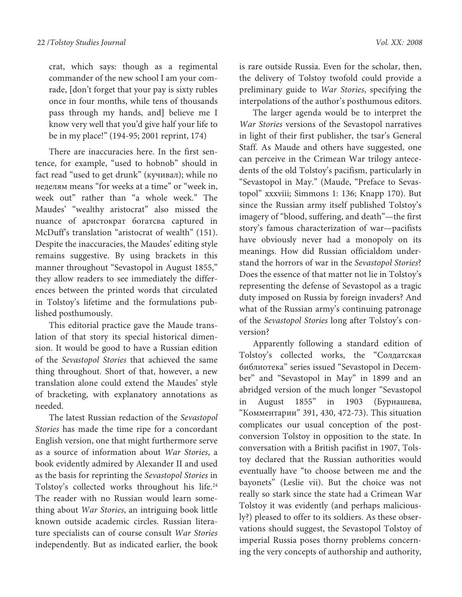crat, which says: though as a regimental commander of the new school I am your comrade, **[**don't forget that your pay is sixty rubles once in four months, while tens of thousands pass through my hands, and**]** believe me I know very well that you'd give half your life to be in my place!" (194-95; 2001 reprint, 174)

There are inaccuracies here. In the first sentence, for example, "used to hobnob" should in fact read "used to get drunk" (кучивал); while по неделям means "for weeks at a time" or "week in, week out" rather than "a whole week." The Maudes' "wealthy aristocrat" also missed the nuance of аристократ богатcвa captured in McDuff's translation "aristocrat of wealth" (151). Despite the inaccuracies, the Maudes' editing style remains suggestive. By using brackets in this manner throughout "Sevastopol in August 1855," they allow readers to see immediately the differences between the printed words that circulated in Tolstoy's lifetime and the formulations published posthumously.

This editorial practice gave the Maude translation of that story its special historical dimension. It would be good to have a Russian edition of the Sevastopol Stories that achieved the same thing throughout. Short of that, however, a new translation alone could extend the Maudes' style of bracketing, with explanatory annotations as needed.

The latest Russian redaction of the Sevastopol Stories has made the time ripe for a concordant English version, one that might furthermore serve as a source of information about War Stories, a book evidently admired by Alexander II and used as the basis for reprinting the Sevastopol Stories in Tolstoy's collected works throughout his life.<sup>24</sup> The reader with no Russian would learn something about War Stories, an intriguing book little known outside academic circles. Russian literature specialists can of course consult War Stories independently. But as indicated earlier, the book

is rare outside Russia. Even for the scholar, then, the delivery of Tolstoy twofold could provide a preliminary guide to War Stories, specifying the interpolations of the author's posthumous editors.

The larger agenda would be to interpret the War Stories versions of the Sevastopol narratives in light of their first publisher, the tsar's General Staff. As Maude and others have suggested, one can perceive in the Crimean War trilogy antecedents of the old Tolstoy's pacifism, particularly in "Sevastopol in May." (Maude, "Preface to Sevastopol" xxxviii; Simmons 1: 136; Knapp 170). But since the Russian army itself published Tolstoy's imagery of "blood, suffering, and death"—the first story's famous characterization of war—pacifists have obviously never had a monopoly on its meanings. How did Russian officialdom understand the horrors of war in the Sevastopol Stories? Does the essence of that matter not lie in Tolstoy's representing the defense of Sevastopol as a tragic duty imposed on Russia by foreign invaders? And what of the Russian army's continuing patronage of the Sevastopol Stories long after Tolstoy's conversion?

Apparently following a standard edition of Tolstoy's collected works, the "Солдатская библиотека" series issued "Sevastopol in December" and "Sevastopol in May" in 1899 and an abridged version of the much longer "Sevastopol in August 1855" in 1903 (Бурнашева, "Комментарии" 391, 430, 472-73). This situation complicates our usual conception of the postconversion Tolstoy in opposition to the state. In conversation with a British pacifist in 1907, Tolstoy declared that the Russian authorities would eventually have "to choose between me and the bayonets" (Leslie vii). But the choice was not really so stark since the state had a Crimean War Tolstoy it was evidently (and perhaps maliciously?) pleased to offer to its soldiers. As these observations should suggest, the Sevastopol Tolstoy of imperial Russia poses thorny problems concerning the very concepts of authorship and authority,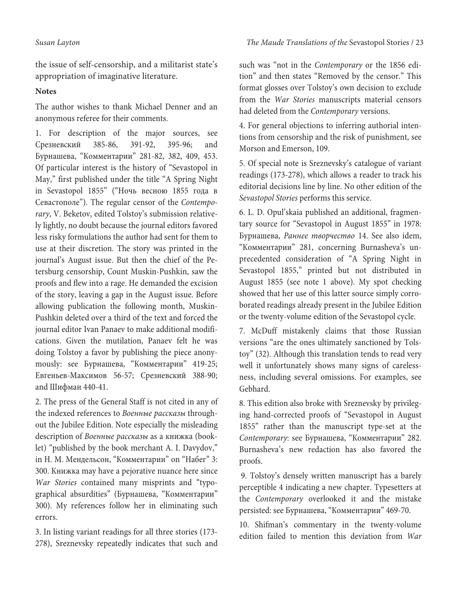the issue of self-censorship, and a militarist state's appropriation of imaginative literature.

## **Notes**

The author wishes to thank Michael Denner and an anonymous referee for their comments.

1. For description of the major sources, see Срезневский 385-86, 391-92, 395-96; and Бурнашева, "Комментарии" 281-82, 382, 409, 453. Of particular interest is the history of "Sevastopol in May," first published under the title "A Spring Night in Sevastopol 1855" ("Ночь весною 1855 года в Севастополе"). The regular censor of the Contemporary, V. Beketov, edited Tolstoy's submission relatively lightly, no doubt because the journal editors favored less risky formulations the author had sent for them to use at their discretion. The story was printed in the journal's August issue. But then the chief of the Petersburg censorship, Count Muskin-Pushkin, saw the proofs and flew into a rage. He demanded the excision of the story, leaving a gap in the August issue. Before allowing publication the following month, Muskin-Pushkin deleted over a third of the text and forced the journal editor Ivan Panaev to make additional modifications. Given the mutilation, Panaev felt he was doing Tolstoy a favor by publishing the piece anonymously: see Бурнашева, "Комментарии" 419-25; Евгеньев-Максимов 56-57; Срезневский 388-90; and Шифман 440-41.

2. The press of the General Staff is not cited in any of the indexed references to Военные рассказы throughout the Jubilee Edition. Note especially the misleading description of Военные рассказы as a книжка (booklet) "published by the book merchant A. I. Davydov," in Н. М. Мендельсон, "Комментарии" on "Набег" 3: 300. Книжка may have a pejorative nuance here since War Stories contained many misprints and "typographical absurdities" (Бурнашева, "Комментарии" 300). My references follow her in eliminating such errors.

3. In listing variant readings for all three stories (173- 278), Sreznevsky repeatedly indicates that such and such was "not in the Contemporary or the 1856 edition" and then states "Removed by the censor." This format glosses over Tolstoy's own decision to exclude from the War Stories manuscripts material censors had deleted from the Contemporary versions.

4. For general objections to inferring authorial intentions from censorship and the risk of punishment, see Morson and Emerson, 109.

5. Of special note is Sreznevsky's catalogue of variant readings (173-278), which allows a reader to track his editorial decisions line by line. No other edition of the Sevastopol Stories performs this service.

6. L. D. Opul'skaia published an additional, fragmentary source for "Sevastopol in August 1855" in 1978: Бурнашева, Раннее творчество 14. See also idem, "Комментарии" 281, concerning Burnasheva's unprecedented consideration of "A Spring Night in Sevastopol 1855," printed but not distributed in August 1855 (see note 1 above). My spot checking showed that her use of this latter source simply corroborated readings already present in the Jubilee Edition or the twenty-volume edition of the Sevastopol cycle.

7. McDuff mistakenly claims that those Russian versions "are the ones ultimately sanctioned by Tolstoy" (32). Although this translation tends to read very well it unfortunately shows many signs of carelessness, including several omissions. For examples, see Gebhard.

8. This edition also broke with Sreznevsky by privileging hand-corrected proofs of "Sevastopol in August 1855" rather than the manuscript type-set at the Contemporary: see Бурнашева, "Комментарии" 282. Burnasheva's new redaction has also favored the proofs.

 9. Tolstoy's densely written manuscript has a barely perceptible 4 indicating a new chapter. Typesetters at the Contemporary overlooked it and the mistake persisted: see Бурнашева, "Комментарии" 469-70.

10. Shifman's commentary in the twenty-volume edition failed to mention this deviation from War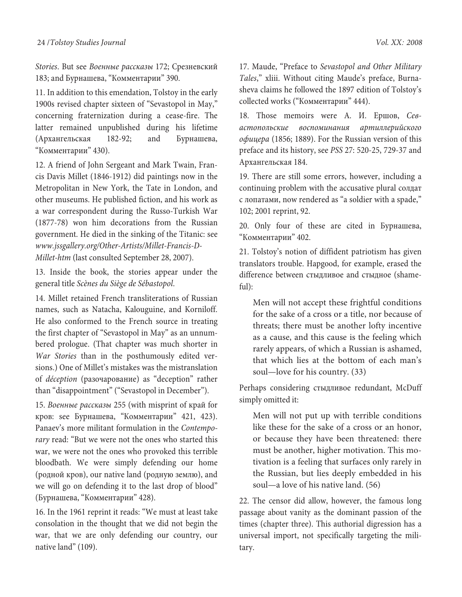Stories. But see Военные рассказы 172; Срезневский 183; and Бурнашева, "Комментарии" 390.

11. In addition to this emendation, Tolstoy in the early 1900s revised chapter sixteen of "Sevastopol in May," concerning fraternization during a cease-fire. The latter remained unpublished during his lifetime (Архангельская 182-92; and Бурнашева, "Комментарии" 430).

12. A friend of John Sergeant and Mark Twain, Francis Davis Millet (1846-1912) did paintings now in the Metropolitan in New York, the Tate in London, and other museums. He published fiction, and his work as a war correspondent during the Russo-Turkish War (1877-78) won him decorations from the Russian government. He died in the sinking of the Titanic: see www.jssgallery.org/Other-Artists/Millet-Francis-D-Millet-htm (last consulted September 28, 2007).

13. Inside the book, the stories appear under the general title Scènes du Siège de Sébastopol.

14. Millet retained French transliterations of Russian names, such as Natacha, Kalouguine, and Korniloff. He also conformed to the French source in treating the first chapter of "Sevastopol in May" as an unnumbered prologue. (That chapter was much shorter in War Stories than in the posthumously edited versions.) One of Millet's mistakes was the mistranslation of déception (разочарование) as "deception" rather than "disappointment" ("Sevastopol in December").

15. Военные рассказы 255 (with misprint of край for кров: see Бурнашева, "Комментарии" 421, 423). Panaev's more militant formulation in the Contemporary read: "But we were not the ones who started this war, we were not the ones who provoked this terrible bloodbath. We were simply defending our home (родной кров), our native land (рoдную землю), and we will go on defending it to the last drop of blood" (Бурнашева, "Комментарии" 428).

16. In the 1961 reprint it reads: "We must at least take consolation in the thought that we did not begin the war, that we are only defending our country, our native land" (109).

17. Maude, "Preface to Sevastopol and Other Military Tales," xliii. Without citing Maude's preface, Burnasheva claims he followed the 1897 edition of Tolstoy's collected works ("Комментарии" 444).

18. Those memoirs were А. И. Ершов, Севастопольские воспоминания артиллерийского офицера (1856; 1889). For the Russian version of this preface and its history, see PSS 27: 520-25, 729-37 and Архангельская 184.

19. There are still some errors, however, including a continuing problem with the accusative plural солдат с лопатами, now rendered as "a soldier with a spade," 102; 2001 reprint, 92.

20. Only four of these are cited in Бурнашева, "Комментарии" 402.

21. Tolstoy's notion of diffident patriotism has given translators trouble. Hapgood, for example, erased the difference between стыдливое and стыдное (shameful):

Men will not accept these frightful conditions for the sake of a cross or a title, nor because of threats; there must be another lofty incentive as a cause, and this cause is the feeling which rarely appears, of which a Russian is ashamed, that which lies at the bottom of each man's soul—love for his country. (33)

Perhaps considering стыдливое redundant, McDuff simply omitted it:

Men will not put up with terrible conditions like these for the sake of a cross or an honor, or because they have been threatened: there must be another, higher motivation. This motivation is a feeling that surfaces only rarely in the Russian, but lies deeply embedded in his soul—a love of his native land. (56)

22. The censor did allow, however, the famous long passage about vanity as the dominant passion of the times (chapter three). This authorial digression has a universal import, not specifically targeting the military.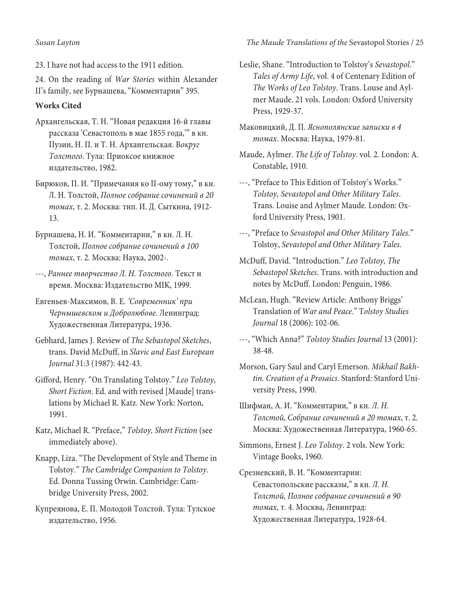23. I have not had access to the 1911 edition.

24. On the reading of War Stories within Alexander II's family, see Бурнашева, "Комментарии" 395.

## **Works Cited**

- Архангельская, Т. Н. "Новая редакция 16-й главы рассказа 'Севастополь в мае 1855 года,'" в кн. Пузин, Н. П. и Т. Н. Архангельская. Вокруг Толстого. Тула: Приоксое книжное издательство, 1982.
- Бирюков, П. И. "Примечания ко II-ому тому," в кн. Л. Н. Толстой, Полное собрание сочинений в 20 томах, т. 2. Москва: тип. И. Д. Сыткина, 1912- 13.
- Бурнашева, Н. И. "Комментарии," в кн. Л. Н. Толстой, Полное собрание сочинений в 100 томах, т. 2. Москва: Наука, 2002-.
- ---, Раннее творчество Л. Н. Толстого. Текст и время. Москва: Издательство MIK, 1999.
- Евгеньев-Максимов, В. Е. 'Современник' при Чернышевском и Добролюбове. Ленинград: Художественная Литература, 1936.
- Gebhard, James J. Review of The Sebastopol Sketches, trans. David McDuff, in Slavic and East European Journal 31:3 (1987): 442-43.
- Gifford, Henry. "On Translating Tolstoy." Leo Tolstoy, Short Fiction. Ed. and with revised [Maude] translations by Michael R. Katz. New York: Norton, 1991.
- Katz, Michael R. "Preface," Tolstoy, Short Fiction (see immediately above).
- Knapp, Liza. "The Development of Style and Theme in Tolstoy." The Cambridge Companion to Tolstoy. Ed. Donna Tussing Orwin. Cambridge: Cambridge University Press, 2002.
- Купреянова, Е. П. Молодой Толстой. Тула: Тулское издательство, 1956.

### Susan Layton The Maude Translations of the Sevastopol Stories / 25

- Leslie, Shane. "Introduction to Tolstoy's Sevastopol." Tales of Army Life, vol. 4 of Centenary Edition of The Works of Leo Tolstoy. Trans. Louse and Aylmer Maude. 21 vols. London: Oxford University Press, 1929-37.
- Маковицкий, Д. П. Яснополянские записки в 4 томах. Москва: Наука, 1979-81.
- Maude, Aylmer. The Life of Tolstoy. vol. 2. London: A. Constable, 1910.
- ---, "Preface to This Edition of Tolstoy's Works." Tolstoy, Sevastopol and Other Military Tales. Trans. Louise and Aylmer Maude. London: Oxford University Press, 1901.
- ---, "Preface to Sevastopol and Other Military Tales." Tolstoy, Sevastopol and Other Military Tales.
- McDuff, David. "Introduction." Leo Tolstoy, The Sebastopol Sketches. Trans. with introduction and notes by McDuff. London: Penguin, 1986.
- McLean, Hugh. "Review Article: Anthony Briggs' Translation of War and Peace." Tolstoy Studies Journal 18 (2006): 102-06.
- ---, "Which Anna?" Tolstoy Studies Journal 13 (2001): 38-48.
- Morson, Gary Saul and Caryl Emerson. Mikhail Bakhtin. Creation of a Prosaics. Stanford: Stanford University Press, 1990.
- Шифман, А. И. "Комментарии," в кн. Л. Н. Толстой, Собрание сочинений в 20 томах, т. 2. Москва: Художественная Литература, 1960-65.
- Simmons, Ernest J. Leo Tolstoy. 2 vols. New York: Vintage Books, 1960.
- Срезневский, В. И. "Комментарии: Севастопольские рассказы," в кн. Л. Н. Толстой, Полное собрание сочинений в 90 томах, т. 4. Москва, Ленинград: Художественная Литература, 1928-64.